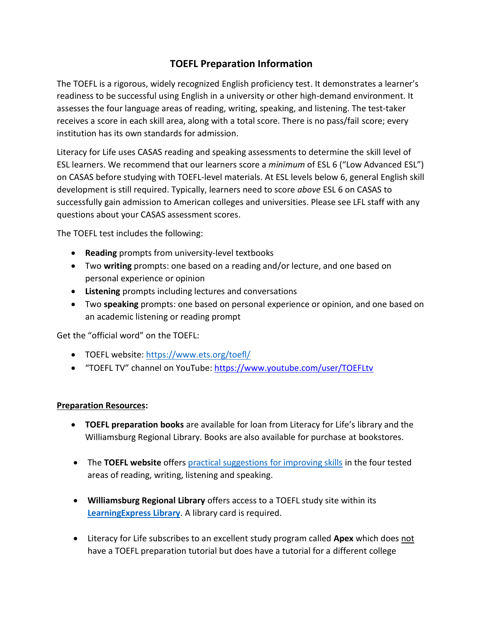## **TOEFL Preparation Information**

The TOEFL is a rigorous, widely recognized English proficiency test. It demonstrates a learner's readiness to be successful using English in a university or other high-demand environment. It assesses the four language areas of reading, writing, speaking, and listening. The test-taker receives a score in each skill area, along with a total score. There is no pass/fail score; every institution has its own standards for admission.

Literacy for Life uses CASAS reading and speaking assessments to determine the skill level of ESL learners. We recommend that our learners score a *minimum* of ESL 6 ("Low Advanced ESL") on CASAS before studying with TOEFL-level materials. At ESL levels below 6, general English skill development is still required. Typically, learners need to score *above* ESL 6 on CASAS to successfully gain admission to American colleges and universities. Please see LFL staff with any questions about your CASAS assessment scores.

The TOEFL test includes the following:

- **Reading** prompts from university-level textbooks
- Two **writing** prompts: one based on a reading and/or lecture, and one based on personal experience or opinion
- **Listening** prompts including lectures and conversations
- Two **speaking** prompts: one based on personal experience or opinion, and one based on an academic listening or reading prompt

Get the "official word" on the TOEFL:

- TOEFL website:<https://www.ets.org/toefl/>
- "TOEFL TV" channel on YouTube[: https://www.youtube.com/user/TOEFLtv](https://www.youtube.com/user/TOEFLtv)

## **Preparation Resources:**

- **TOEFL preparation books** are available for loan from Literacy for Life's library and the Williamsburg Regional Library. Books are also available for purchase at bookstores.
- The **TOEFL website** offers [practical suggestions for improving skills](https://www.ets.org/toefl/test-takers/ibt/resources/improve-skills/) in the four tested areas of reading, writing, listening and speaking.
- **Williamsburg Regional Library** offers access to a TOEFL study site within its **[LearningExpress Library](https://www.learningexpresshub.com/ProductEngine/LELIndex.html#/center/learningexpresslibrary/college-preparation-center/home/prepare-for-your-toefl-ibt-test)**. A library card is required.
- Literacy for Life subscribes to an excellent study program called **Apex** which does not have a TOEFL preparation tutorial but does have a tutorial for a different college